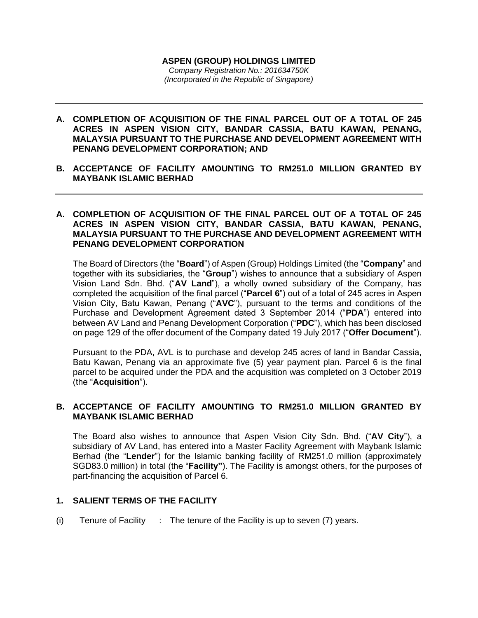#### **ASPEN (GROUP) HOLDINGS LIMITED** *Company Registration No.: 201634750K (Incorporated in the Republic of Singapore)*

- **A. COMPLETION OF ACQUISITION OF THE FINAL PARCEL OUT OF A TOTAL OF 245 ACRES IN ASPEN VISION CITY, BANDAR CASSIA, BATU KAWAN, PENANG, MALAYSIA PURSUANT TO THE PURCHASE AND DEVELOPMENT AGREEMENT WITH PENANG DEVELOPMENT CORPORATION; AND**
- **B. ACCEPTANCE OF FACILITY AMOUNTING TO RM251.0 MILLION GRANTED BY MAYBANK ISLAMIC BERHAD**

### **A. COMPLETION OF ACQUISITION OF THE FINAL PARCEL OUT OF A TOTAL OF 245 ACRES IN ASPEN VISION CITY, BANDAR CASSIA, BATU KAWAN, PENANG, MALAYSIA PURSUANT TO THE PURCHASE AND DEVELOPMENT AGREEMENT WITH PENANG DEVELOPMENT CORPORATION**

The Board of Directors (the "**Board**") of Aspen (Group) Holdings Limited (the "**Company**" and together with its subsidiaries, the "**Group**") wishes to announce that a subsidiary of Aspen Vision Land Sdn. Bhd. ("**AV Land**"), a wholly owned subsidiary of the Company, has completed the acquisition of the final parcel ("**Parcel 6**") out of a total of 245 acres in Aspen Vision City, Batu Kawan, Penang ("**AVC**"), pursuant to the terms and conditions of the Purchase and Development Agreement dated 3 September 2014 ("**PDA**") entered into between AV Land and Penang Development Corporation ("**PDC**"), which has been disclosed on page 129 of the offer document of the Company dated 19 July 2017 ("**Offer Document**").

Pursuant to the PDA, AVL is to purchase and develop 245 acres of land in Bandar Cassia, Batu Kawan, Penang via an approximate five (5) year payment plan. Parcel 6 is the final parcel to be acquired under the PDA and the acquisition was completed on 3 October 2019 (the "**Acquisition**").

# **B. ACCEPTANCE OF FACILITY AMOUNTING TO RM251.0 MILLION GRANTED BY MAYBANK ISLAMIC BERHAD**

The Board also wishes to announce that Aspen Vision City Sdn. Bhd. ("**AV City**"), a subsidiary of AV Land, has entered into a Master Facility Agreement with Maybank Islamic Berhad (the "**Lender**") for the Islamic banking facility of RM251.0 million (approximately SGD83.0 million) in total (the "**Facility"**). The Facility is amongst others, for the purposes of part-financing the acquisition of Parcel 6.

# **1. SALIENT TERMS OF THE FACILITY**

(i) Tenure of Facility  $\therefore$  The tenure of the Facility is up to seven (7) years.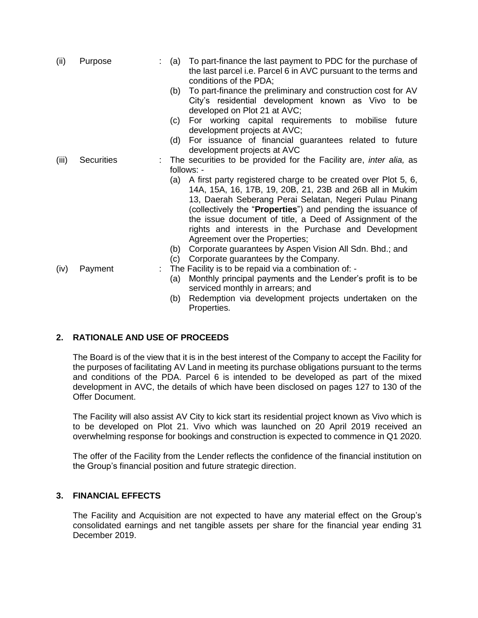| (ii)  | Purpose           | : (a)      | To part-finance the last payment to PDC for the purchase of<br>the last parcel i.e. Parcel 6 in AVC pursuant to the terms and<br>conditions of the PDA;                                                                                                                                                                                                                                                               |
|-------|-------------------|------------|-----------------------------------------------------------------------------------------------------------------------------------------------------------------------------------------------------------------------------------------------------------------------------------------------------------------------------------------------------------------------------------------------------------------------|
|       |                   | (b)        | To part-finance the preliminary and construction cost for AV<br>City's residential development known as Vivo to be<br>developed on Plot 21 at AVC;                                                                                                                                                                                                                                                                    |
|       |                   | (c)        | For working capital requirements to mobilise future<br>development projects at AVC;                                                                                                                                                                                                                                                                                                                                   |
|       |                   | (d)        | For issuance of financial guarantees related to future<br>development projects at AVC                                                                                                                                                                                                                                                                                                                                 |
| (iii) | <b>Securities</b> |            | The securities to be provided for the Facility are, <i>inter alia</i> , as                                                                                                                                                                                                                                                                                                                                            |
|       |                   |            | follows: -                                                                                                                                                                                                                                                                                                                                                                                                            |
|       |                   |            | (a) A first party registered charge to be created over Plot 5, 6,<br>14A, 15A, 16, 17B, 19, 20B, 21, 23B and 26B all in Mukim<br>13, Daerah Seberang Perai Selatan, Negeri Pulau Pinang<br>(collectively the " <b>Properties</b> ") and pending the issuance of<br>the issue document of title, a Deed of Assignment of the<br>rights and interests in the Purchase and Development<br>Agreement over the Properties; |
|       |                   | (b)<br>(c) | Corporate guarantees by Aspen Vision All Sdn. Bhd.; and<br>Corporate guarantees by the Company.                                                                                                                                                                                                                                                                                                                       |
| (iv)  | Payment           |            | The Facility is to be repaid via a combination of: -                                                                                                                                                                                                                                                                                                                                                                  |
|       |                   | (a)        | Monthly principal payments and the Lender's profit is to be<br>serviced monthly in arrears; and                                                                                                                                                                                                                                                                                                                       |
|       |                   | (b)        | Redemption via development projects undertaken on the<br>Properties.                                                                                                                                                                                                                                                                                                                                                  |

# **2. RATIONALE AND USE OF PROCEEDS**

The Board is of the view that it is in the best interest of the Company to accept the Facility for the purposes of facilitating AV Land in meeting its purchase obligations pursuant to the terms and conditions of the PDA. Parcel 6 is intended to be developed as part of the mixed development in AVC, the details of which have been disclosed on pages 127 to 130 of the Offer Document.

The Facility will also assist AV City to kick start its residential project known as Vivo which is to be developed on Plot 21. Vivo which was launched on 20 April 2019 received an overwhelming response for bookings and construction is expected to commence in Q1 2020.

The offer of the Facility from the Lender reflects the confidence of the financial institution on the Group's financial position and future strategic direction.

# **3. FINANCIAL EFFECTS**

The Facility and Acquisition are not expected to have any material effect on the Group's consolidated earnings and net tangible assets per share for the financial year ending 31 December 2019.